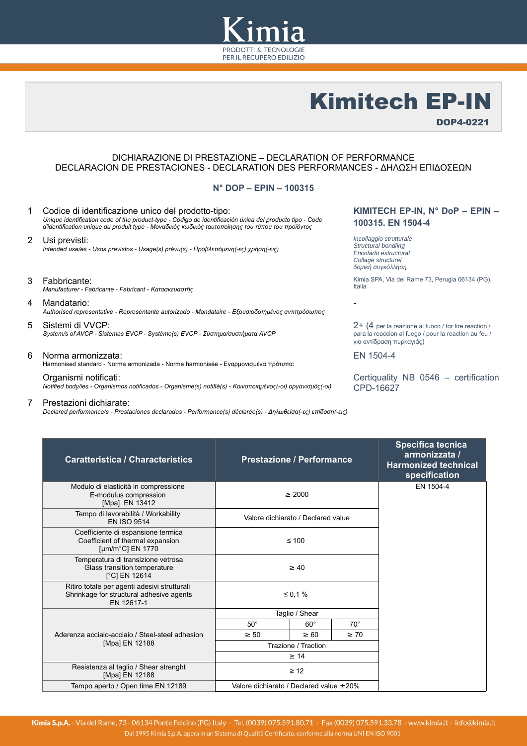

# Kimitech EP-IN

DOP4-0221

## DICHIARAZIONE DI PRESTAZIONE – DECLARATION OF PERFORMANCE DECLARACION DE PRESTACIONES - DECLARATION DES PERFORMANCES - ΔΗΛΩΣΗ ΕΠΙΔΟΣΕΩN

### **N° DOP – EPIN – 100315**

- 1 Codice di identificazione unico del prodotto-tipo: *Unique identification code of the product-type - Código de identificación única del producto tipo - Code d'identification unique du produit type - Μοναδικός κωδικός ταυτοποίησης του τύπου του προϊόντος*
- 2 Usi previsti: *Intended use/es - Usos previstos - Usage(s) prévu(s) - Προβλεπόμενη(-ες) χρήση(-εις)*
- 3 Fabbricante: *Manufacturer - Fabricante - Fabricant - Κατασκευαστής*
- 4 Mandatario: *Authorised representative - Representante autorizado - Mandataire - Εξουσιοδοτημένος αντιπρόσωπος*
- 5 Sistemi di VVCP: *System/s of AVCP - Sistemas EVCP - Système(s) EVCP - Σύστημα/συστήματα AVCP*
- 6 Norma armonizzata: Harmonised standard - Norma armonizada - Norme harmonisée - Εναρμονισμένα πρότυπα:

Organismi notificati: *Notified body/ies - Organismos notificados - Organisme(s) notifié(s) - Κοινοποιημένος(-οι) οργανισμός(-οι)*

7 Prestazioni dichiarate:

*Declared performance/s - Prestaciones declaradas - Performance(s) déclarée(s) - Δηλωθείσα(-ες) επίδοση(-εις)*

## **KIMITECH EP-IN, N° DoP – EPIN – 100315. EN 1504-4**

*Incollaggio strutturale Structural bondiing Encolado estructural Collage structurel δομική συγκόλληση*

Kimia SPA, Via del Rame 73, Perugia 06134 (PG), Italia

2+ (4 per la reazione al fuoco / for fire reaction / para la reaccion al fuego / pour la reaction au feu / για αντίδραση πυρκαγιάς)

EN 1504-4

-

Certiquality NB 0546 – certification CPD-16627

| <b>Caratteristica / Characteristics</b>                                                                       | <b>Prestazione / Performance</b>        |            |              | <b>Specifica tecnica</b><br>armonizzata /<br><b>Harmonized technical</b><br>specification |
|---------------------------------------------------------------------------------------------------------------|-----------------------------------------|------------|--------------|-------------------------------------------------------------------------------------------|
| Modulo di elasticità in compressione<br>E-modulus compression<br>[Mpa] EN 13412                               | $\geq 2000$                             |            | EN 1504-4    |                                                                                           |
| Tempo di lavorabilità / Workability<br><b>EN ISO 9514</b>                                                     | Valore dichiarato / Declared value      |            |              |                                                                                           |
| Coefficiente di espansione termica<br>Coefficient of thermal expansion<br>[ $\mu$ m/m <sup>o</sup> C] EN 1770 | $\leq 100$                              |            |              |                                                                                           |
| Temperatura di transizione vetrosa<br>Glass transition temperature<br>[°C] EN 12614                           | $\geq 40$                               |            |              |                                                                                           |
| Ritiro totale per agenti adesivi strutturali<br>Shrinkage for structural adhesive agents<br>EN 12617-1        | ≤ 0,1 %                                 |            |              |                                                                                           |
|                                                                                                               | Taglio / Shear                          |            |              |                                                                                           |
|                                                                                                               | $50^\circ$                              | $60^\circ$ | $70^{\circ}$ |                                                                                           |
| Aderenza acciaio-acciaio / Steel-steel adhesion                                                               | $\geq 50$                               | $\geq 60$  | $\geq 70$    |                                                                                           |
| [Mpa] EN 12188                                                                                                | Trazione / Traction                     |            |              |                                                                                           |
|                                                                                                               | $\geq 14$                               |            |              |                                                                                           |
| Resistenza al taglio / Shear strenght<br>[Mpa] EN 12188                                                       | $\geq 12$                               |            |              |                                                                                           |
| Tempo aperto / Open time EN 12189                                                                             | Valore dichiarato / Declared value ±20% |            |              |                                                                                           |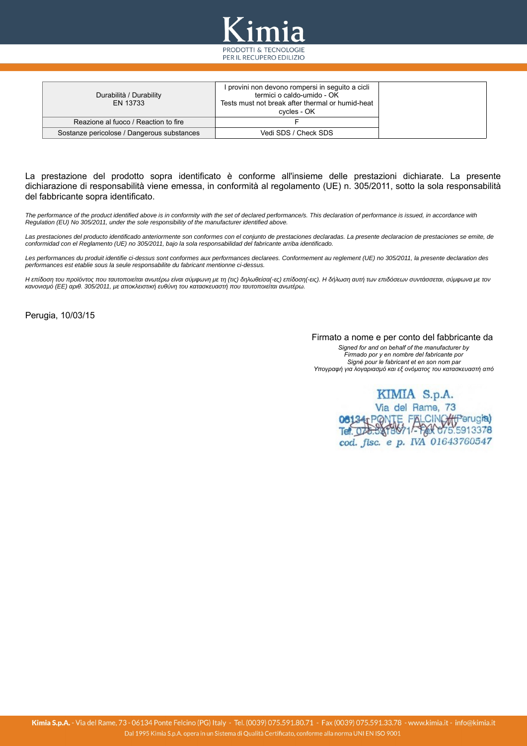

| Durabilità / Durability<br>EN 13733        | l provini non devono rompersi in seguito a cicli<br>termici o caldo-umido - OK<br>Tests must not break after thermal or humid-heat<br>cvcles - OK |
|--------------------------------------------|---------------------------------------------------------------------------------------------------------------------------------------------------|
| Reazione al fuoco / Reaction to fire       |                                                                                                                                                   |
| Sostanze pericolose / Dangerous substances | Vedi SDS / Check SDS                                                                                                                              |

La prestazione del prodotto sopra identificato è conforme all'insieme delle prestazioni dichiarate. La presente dichiarazione di responsabilità viene emessa, in conformità al regolamento (UE) n. 305/2011, sotto la sola responsabilità del fabbricante sopra identificato.

*The performance of the product identified above is in conformity with the set of declared performance/s. This declaration of performance is issued, in accordance with Regulation (EU) No 305/2011, under the sole responsibility of the manufacturer identified above.*

*Las prestaciones del producto identificado anteriormente son conformes con el conjunto de prestaciones declaradas. La presente declaracion de prestaciones se emite, de conformidad con el Reglamento (UE) no 305/2011, bajo la sola responsabilidad del fabricante arriba identificado.*

*Les performances du produit identifie ci-dessus sont conformes aux performances declarees. Conformement au reglement (UE) no 305/2011, la presente declaration des performances est etablie sous la seule responsabilite du fabricant mentionne ci-dessus.*

*Η επίδοση του προϊόντος που ταυτοποιείται ανωτέρω είναι σύμφωνη με τη (τις) δηλωθείσα(-ες) επίδοση(-εις). Η δήλωση αυτή των επιδόσεων συντάσσεται, σύμφωνα με τον κανονισμό (ΕΕ) αριθ. 305/2011, με αποκλειστική ευθύνη του κατασκευαστή που ταυτοποιείται ανωτέρω.*

Perugia, 10/03/15

### Firmato a nome e per conto del fabbricante da

*Signed for and on behalf of the manufacturer by Firmado por y en nombre del fabricante por Signé pour le fabricant et en son nom par Υπογραφή για λογαριασμό και εξ ονόματος του κατασκευαστή από*

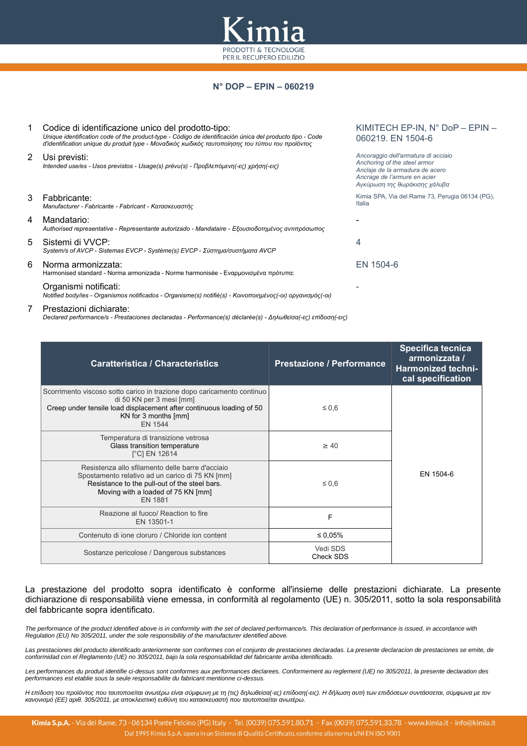

# **N° DOP – EPIN – 060219**

|   | Codice di identificazione unico del prodotto-tipo:<br>Unique identification code of the product-type - Código de identificación única del producto tipo - Code<br>d'identification unique du produit type - Μοναδικός κωδικός ταυτοποίησης του τύπου του προϊόντος | KIMITECH EP-IN, N° DoP - EPIN -<br>060219. EN 1504-6                                                                                                                    |
|---|--------------------------------------------------------------------------------------------------------------------------------------------------------------------------------------------------------------------------------------------------------------------|-------------------------------------------------------------------------------------------------------------------------------------------------------------------------|
| 2 | Usi previsti:<br>Intended use/es - Usos previstos - Usage(s) prévu(s) - Προβλεπόμενη(-ες) χρήση(-εις)                                                                                                                                                              | Ancoraggio dell'armatura di acciaio<br>Anchoring of the steel armor<br>Anclaje de la armadura de acero<br>Ancrage de l'armure en acier<br>Αγκύρωση της θωράκισης χάλυβα |
| 3 | Fabbricante:<br>Manufacturer - Fabricante - Fabricant - Κατασκευαστής                                                                                                                                                                                              | Kimia SPA, Via del Rame 73, Perugia 06134 (PG),<br>Italia                                                                                                               |
| 4 | Mandatario:<br>Authorised representative - Representante autorizado - Mandataire - Εξουσιοδοτημένος αντιπρόσωπος                                                                                                                                                   |                                                                                                                                                                         |
| 5 | Sistemi di VVCP:<br>System/s of AVCP - Sistemas EVCP - Système(s) EVCP - Σύστημα/συστήματα AVCP                                                                                                                                                                    | 4                                                                                                                                                                       |
| 6 | Norma armonizzata:<br>Harmonised standard - Norma armonizada - Norme harmonisée - Εναρμονισμένα πρότυπα:                                                                                                                                                           | EN 1504-6                                                                                                                                                               |
|   | Organismi notificati:<br>Notified body/ies - Organismos notificados - Organisme(s) notifié(s) - Κοινοποιημένος(-οι) οργανισμός(-οι)                                                                                                                                |                                                                                                                                                                         |

#### 7 Prestazioni dichiarate:

*Declared performance/s - Prestaciones declaradas - Performance(s) déclarée(s) - Δηλωθείσα(-ες) επίδοση(-εις)*

| <b>Caratteristica / Characteristics</b>                                                                                                                                                                       | <b>Prestazione / Performance</b> | Specifica tecnica<br>armonizzata /<br><b>Harmonized techni-</b><br>cal specification |  |
|---------------------------------------------------------------------------------------------------------------------------------------------------------------------------------------------------------------|----------------------------------|--------------------------------------------------------------------------------------|--|
| Scorrimento viscoso sotto carico in trazione dopo caricamento continuo<br>di 50 KN per 3 mesi [mm]<br>Creep under tensile load displacement after continuous loading of 50<br>KN for 3 months [mm]<br>EN 1544 | $\leq 0.6$                       |                                                                                      |  |
| Temperatura di transizione vetrosa<br>Glass transition temperature<br>$[^{\circ}C]$ EN 12614                                                                                                                  | $\geq 40$                        |                                                                                      |  |
| Resistenza allo sfilamento delle barre d'acciaio<br>Spostamento relativo ad un carico di 75 KN [mm]<br>Resistance to the pull-out of the steel bars.<br>Moving with a loaded of 75 KN [mm]<br><b>EN 1881</b>  | $\leq 0.6$                       | EN 1504-6                                                                            |  |
| Reazione al fuoco/ Reaction to fire<br>EN 13501-1                                                                                                                                                             | F                                |                                                                                      |  |
| Contenuto di ione cloruro / Chloride ion content                                                                                                                                                              | ≤ 0,05%                          |                                                                                      |  |
| Sostanze pericolose / Dangerous substances                                                                                                                                                                    | Vedi SDS<br>Check SDS            |                                                                                      |  |

### La prestazione del prodotto sopra identificato è conforme all'insieme delle prestazioni dichiarate. La presente dichiarazione di responsabilità viene emessa, in conformità al regolamento (UE) n. 305/2011, sotto la sola responsabilità del fabbricante sopra identificato.

*The performance of the product identified above is in conformity with the set of declared performance/s. This declaration of performance is issued, in accordance with Regulation (EU) No 305/2011, under the sole responsibility of the manufacturer identified above.*

*Las prestaciones del producto identificado anteriormente son conformes con el conjunto de prestaciones declaradas. La presente declaracion de prestaciones se emite, de conformidad con el Reglamento (UE) no 305/2011, bajo la sola responsabilidad del fabricante arriba identificado.*

*Les performances du produit identifie ci-dessus sont conformes aux performances declarees. Conformement au reglement (UE) no 305/2011, la presente declaration des performances est etablie sous la seule responsabilite du fabricant mentionne ci-dessus.*

*Η επίδοση του προϊόντος που ταυτοποιείται ανωτέρω είναι σύμφωνη με τη (τις) δηλωθείσα(-ες) επίδοση(-εις). Η δήλωση αυτή των επιδόσεων συντάσσεται, σύμφωνα με τον κανονισμό (ΕΕ) αριθ. 305/2011, με αποκλειστική ευθύνη του κατασκευαστή που ταυτοποιείται ανωτέρω.*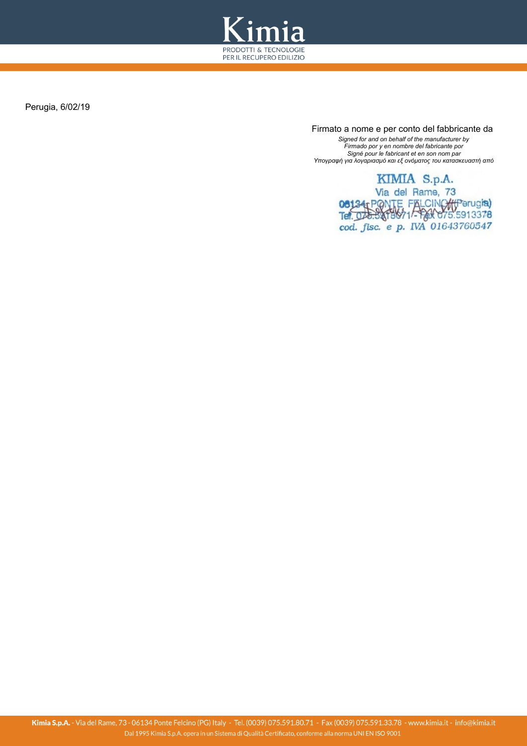

Perugia, 6/02/19

 Firmato a nome e per conto del fabbricante da *Signed for and on behalf of the manufacturer by Firmado por y en nombre del fabricante por Signé pour le fabricant et en son nom par Υπογραφή για λογαριασμό και εξ ονόματος του κατασκευαστή από*

> KIMIA S.p.A. Via del Rame, 73 08134 PONTE FALCINO (francia) cod. fisc. e p. IVA 01643760547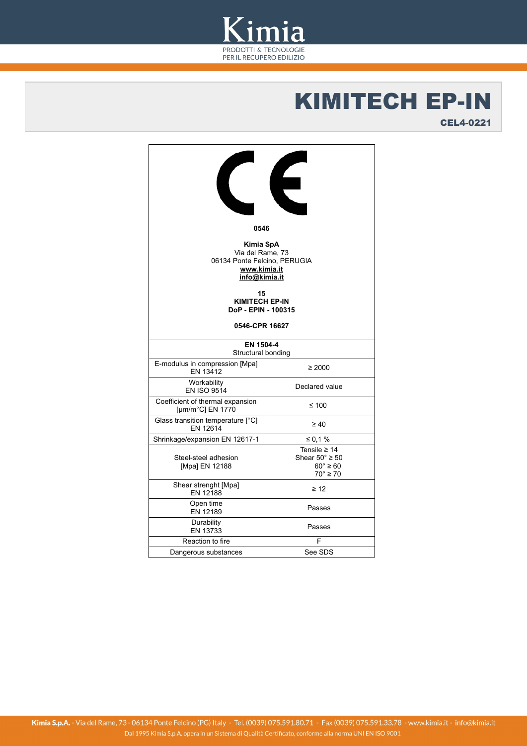

# KIMITECH EP-IN

CEL4-0221

| Е                                                                                                    |                                                                                           |  |  |  |
|------------------------------------------------------------------------------------------------------|-------------------------------------------------------------------------------------------|--|--|--|
| 0546                                                                                                 |                                                                                           |  |  |  |
| Kimia SpA<br>Via del Rame, 73<br>06134 Ponte Felcino, PERUGIA<br>www.kimia.it<br>info@kimia.it<br>15 |                                                                                           |  |  |  |
| <b>KIMITECH EP-IN</b><br>DoP - EPIN - 100315                                                         |                                                                                           |  |  |  |
|                                                                                                      |                                                                                           |  |  |  |
| 0546-CPR 16627                                                                                       |                                                                                           |  |  |  |
| EN 1504-4<br>Structural bonding                                                                      |                                                                                           |  |  |  |
| E-modulus in compression [Mpa]<br>EN 13412                                                           | $\geq 2000$                                                                               |  |  |  |
| Workability<br><b>EN ISO 9514</b>                                                                    | Declared value                                                                            |  |  |  |
| Coefficient of thermal expansion<br>[µm/m°C] EN 1770                                                 | ≤ 100                                                                                     |  |  |  |
| Glass transition temperature [°C]<br>EN 12614                                                        | $\geq 40$                                                                                 |  |  |  |
| Shrinkage/expansion EN 12617-1                                                                       | ≤ 0,1%                                                                                    |  |  |  |
| Steel-steel adhesion<br>[Mpa] EN 12188                                                               | Tensile $\geq 14$<br>Shear $50^\circ \geq 50$<br>$60^\circ \geq 60$<br>$70^\circ \geq 70$ |  |  |  |
| Shear strenght [Mpa]<br>EN 12188                                                                     | $\geq 12$                                                                                 |  |  |  |
| Open time<br>EN 12189                                                                                | Passes                                                                                    |  |  |  |
| Durability<br>EN 13733                                                                               | Passes                                                                                    |  |  |  |
| Reaction to fire                                                                                     | F                                                                                         |  |  |  |
| Dangerous substances                                                                                 | See SDS                                                                                   |  |  |  |